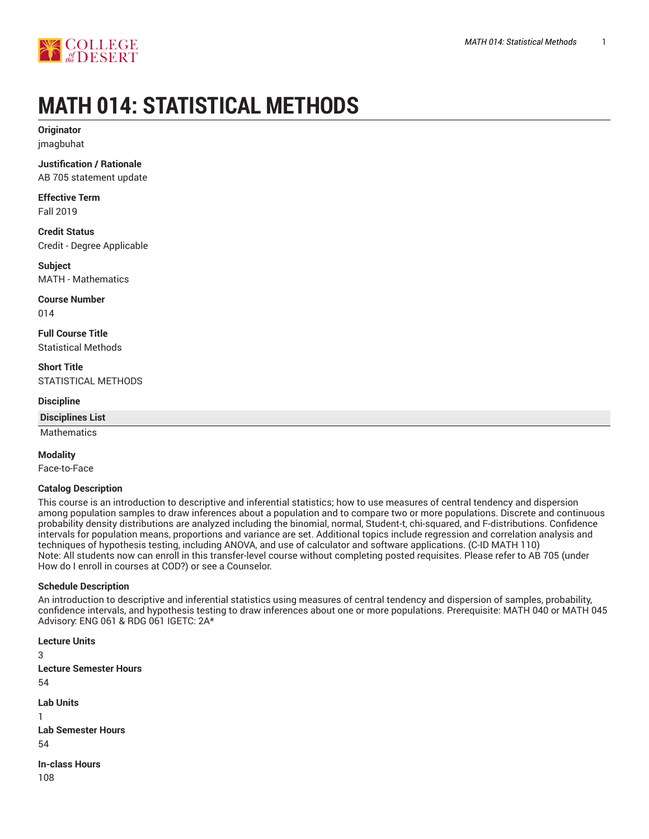

# **MATH 014: STATISTICAL METHODS**

**Originator** jmagbuhat

**Justification / Rationale** AB 705 statement update

**Effective Term** Fall 2019

**Credit Status** Credit - Degree Applicable

**Subject** MATH - Mathematics

**Course Number** 014

**Full Course Title** Statistical Methods

**Short Title** STATISTICAL METHODS

**Discipline**

**Disciplines List**

Mathematics

**Modality**

Face-to-Face

**Catalog Description**

This course is an introduction to descriptive and inferential statistics; how to use measures of central tendency and dispersion among population samples to draw inferences about a population and to compare two or more populations. Discrete and continuous probability density distributions are analyzed including the binomial, normal, Student-t, chi-squared, and F-distributions. Confidence intervals for population means, proportions and variance are set. Additional topics include regression and correlation analysis and techniques of hypothesis testing, including ANOVA, and use of calculator and software applications. (C-ID MATH 110) Note: All students now can enroll in this transfer-level course without completing posted requisites. Please refer to AB 705 (under How do I enroll in courses at COD?) or see a Counselor.

## **Schedule Description**

An introduction to descriptive and inferential statistics using measures of central tendency and dispersion of samples, probability, confidence intervals, and hypothesis testing to draw inferences about one or more populations. Prerequisite: MATH 040 or MATH 045 Advisory: ENG 061 & RDG 061 IGETC: 2A\*

**Lecture Units** 3 **Lecture Semester Hours** 54 **Lab Units** 1 **Lab Semester Hours** 54 **In-class Hours** 108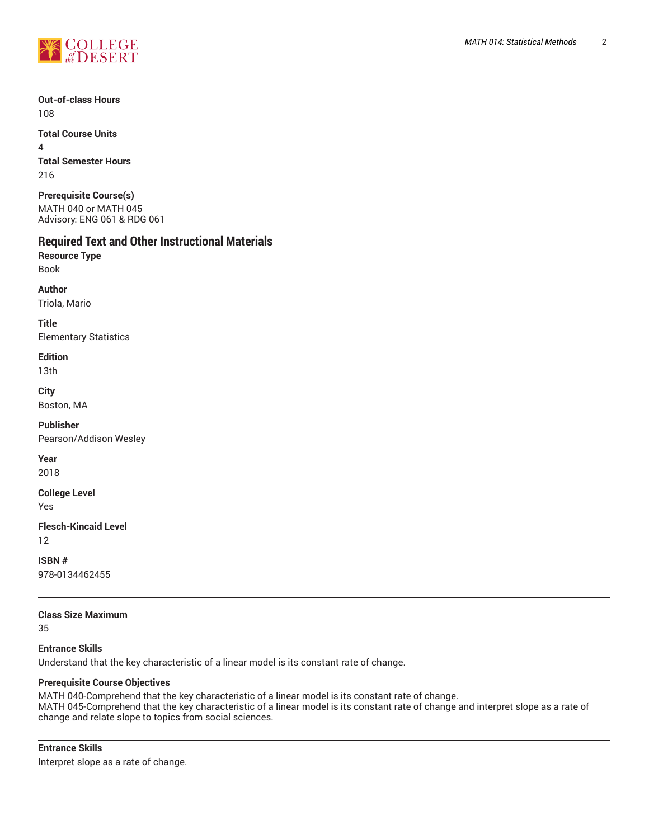

**Out-of-class Hours** 108

**Total Course Units** 4 **Total Semester Hours** 216

**Prerequisite Course(s)** MATH 040 or MATH 045 Advisory: ENG 061 & RDG 061

# **Required Text and Other Instructional Materials**

**Resource Type** Book

**Author**

Triola, Mario

**Title** Elementary Statistics

## **Edition**

13th

**City** Boston, MA

**Publisher** Pearson/Addison Wesley

**Year**

2018

**College Level**

Yes

**Flesch-Kincaid Level**

12

**ISBN #** 978-0134462455

**Class Size Maximum** 35

**Entrance Skills** Understand that the key characteristic of a linear model is its constant rate of change.

## **Prerequisite Course Objectives**

MATH 040-Comprehend that the key characteristic of a linear model is its constant rate of change. MATH 045-Comprehend that the key characteristic of a linear model is its constant rate of change and interpret slope as a rate of change and relate slope to topics from social sciences.

**Entrance Skills** Interpret slope as a rate of change.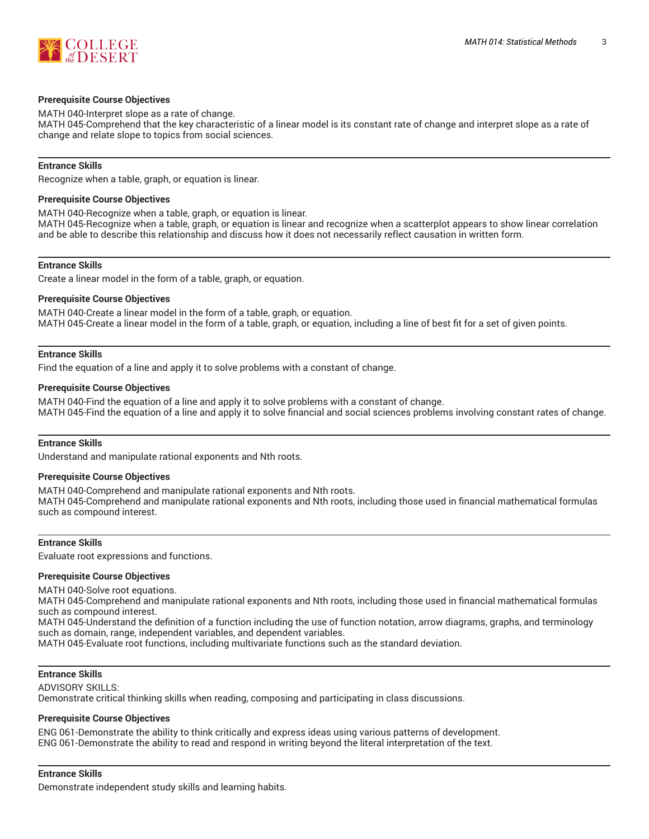

#### **Prerequisite Course Objectives**

MATH 040-Interpret slope as a rate of change. MATH 045-Comprehend that the key characteristic of a linear model is its constant rate of change and interpret slope as a rate of change and relate slope to topics from social sciences.

#### **Entrance Skills**

Recognize when a table, graph, or equation is linear.

#### **Prerequisite Course Objectives**

MATH 040-Recognize when a table, graph, or equation is linear. MATH 045-Recognize when a table, graph, or equation is linear and recognize when a scatterplot appears to show linear correlation and be able to describe this relationship and discuss how it does not necessarily reflect causation in written form.

#### **Entrance Skills**

Create a linear model in the form of a table, graph, or equation.

#### **Prerequisite Course Objectives**

MATH 040-Create a linear model in the form of a table, graph, or equation. MATH 045-Create a linear model in the form of a table, graph, or equation, including a line of best fit for a set of given points.

#### **Entrance Skills**

Find the equation of a line and apply it to solve problems with a constant of change.

#### **Prerequisite Course Objectives**

MATH 040-Find the equation of a line and apply it to solve problems with a constant of change. MATH 045-Find the equation of a line and apply it to solve financial and social sciences problems involving constant rates of change.

#### **Entrance Skills**

Understand and manipulate rational exponents and Nth roots.

#### **Prerequisite Course Objectives**

MATH 040-Comprehend and manipulate rational exponents and Nth roots. MATH 045-Comprehend and manipulate rational exponents and Nth roots, including those used in financial mathematical formulas such as compound interest.

#### **Entrance Skills**

Evaluate root expressions and functions.

#### **Prerequisite Course Objectives**

MATH 040-Solve root equations.

MATH 045-Comprehend and manipulate rational exponents and Nth roots, including those used in financial mathematical formulas such as compound interest.

MATH 045-Understand the definition of a function including the use of function notation, arrow diagrams, graphs, and terminology such as domain, range, independent variables, and dependent variables.

MATH 045-Evaluate root functions, including multivariate functions such as the standard deviation.

#### **Entrance Skills**

ADVISORY SKILLS:

Demonstrate critical thinking skills when reading, composing and participating in class discussions.

#### **Prerequisite Course Objectives**

ENG 061-Demonstrate the ability to think critically and express ideas using various patterns of development. ENG 061-Demonstrate the ability to read and respond in writing beyond the literal interpretation of the text.

#### **Entrance Skills**

Demonstrate independent study skills and learning habits.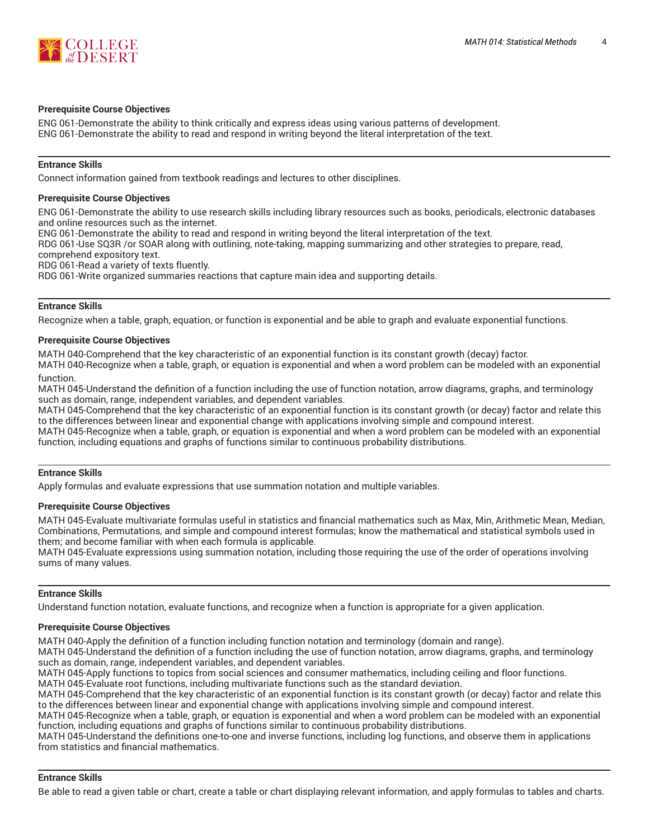

#### **Prerequisite Course Objectives**

ENG 061-Demonstrate the ability to think critically and express ideas using various patterns of development. ENG 061-Demonstrate the ability to read and respond in writing beyond the literal interpretation of the text.

#### **Entrance Skills**

Connect information gained from textbook readings and lectures to other disciplines.

#### **Prerequisite Course Objectives**

ENG 061-Demonstrate the ability to use research skills including library resources such as books, periodicals, electronic databases and online resources such as the internet.

ENG 061-Demonstrate the ability to read and respond in writing beyond the literal interpretation of the text.

RDG 061-Use SQ3R /or SOAR along with outlining, note-taking, mapping summarizing and other strategies to prepare, read,

comprehend expository text. RDG 061-Read a variety of texts fluently.

RDG 061-Write organized summaries reactions that capture main idea and supporting details.

#### **Entrance Skills**

Recognize when a table, graph, equation, or function is exponential and be able to graph and evaluate exponential functions.

#### **Prerequisite Course Objectives**

MATH 040-Comprehend that the key characteristic of an exponential function is its constant growth (decay) factor.

MATH 040-Recognize when a table, graph, or equation is exponential and when a word problem can be modeled with an exponential function.

MATH 045-Understand the definition of a function including the use of function notation, arrow diagrams, graphs, and terminology such as domain, range, independent variables, and dependent variables.

MATH 045-Comprehend that the key characteristic of an exponential function is its constant growth (or decay) factor and relate this to the differences between linear and exponential change with applications involving simple and compound interest. MATH 045-Recognize when a table, graph, or equation is exponential and when a word problem can be modeled with an exponential function, including equations and graphs of functions similar to continuous probability distributions.

#### **Entrance Skills**

Apply formulas and evaluate expressions that use summation notation and multiple variables.

### **Prerequisite Course Objectives**

MATH 045-Evaluate multivariate formulas useful in statistics and financial mathematics such as Max, Min, Arithmetic Mean, Median, Combinations, Permutations, and simple and compound interest formulas; know the mathematical and statistical symbols used in them; and become familiar with when each formula is applicable.

MATH 045-Evaluate expressions using summation notation, including those requiring the use of the order of operations involving sums of many values.

#### **Entrance Skills**

Understand function notation, evaluate functions, and recognize when a function is appropriate for a given application.

#### **Prerequisite Course Objectives**

MATH 040-Apply the definition of a function including function notation and terminology (domain and range).

MATH 045-Understand the definition of a function including the use of function notation, arrow diagrams, graphs, and terminology such as domain, range, independent variables, and dependent variables.

MATH 045-Apply functions to topics from social sciences and consumer mathematics, including ceiling and floor functions.

MATH 045-Evaluate root functions, including multivariate functions such as the standard deviation.

MATH 045-Comprehend that the key characteristic of an exponential function is its constant growth (or decay) factor and relate this to the differences between linear and exponential change with applications involving simple and compound interest.

MATH 045-Recognize when a table, graph, or equation is exponential and when a word problem can be modeled with an exponential function, including equations and graphs of functions similar to continuous probability distributions.

MATH 045-Understand the definitions one-to-one and inverse functions, including log functions, and observe them in applications from statistics and financial mathematics.

#### **Entrance Skills**

Be able to read a given table or chart, create a table or chart displaying relevant information, and apply formulas to tables and charts.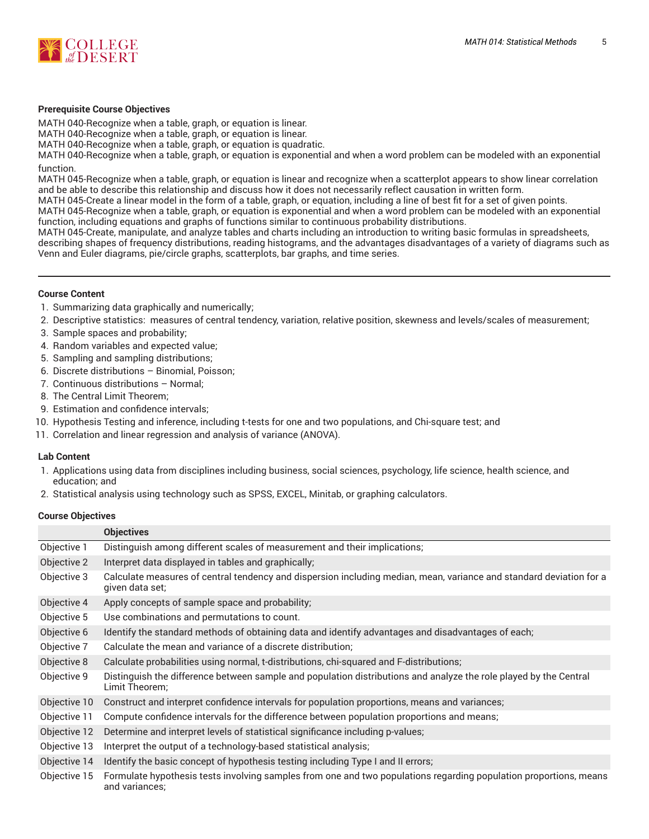

#### **Prerequisite Course Objectives**

MATH 040-Recognize when a table, graph, or equation is linear. MATH 040-Recognize when a table, graph, or equation is linear. MATH 040-Recognize when a table, graph, or equation is quadratic.

MATH 040-Recognize when a table, graph, or equation is exponential and when a word problem can be modeled with an exponential function.

MATH 045-Recognize when a table, graph, or equation is linear and recognize when a scatterplot appears to show linear correlation and be able to describe this relationship and discuss how it does not necessarily reflect causation in written form.

MATH 045-Create a linear model in the form of a table, graph, or equation, including a line of best fit for a set of given points. MATH 045-Recognize when a table, graph, or equation is exponential and when a word problem can be modeled with an exponential function, including equations and graphs of functions similar to continuous probability distributions.

MATH 045-Create, manipulate, and analyze tables and charts including an introduction to writing basic formulas in spreadsheets, describing shapes of frequency distributions, reading histograms, and the advantages disadvantages of a variety of diagrams such as Venn and Euler diagrams, pie/circle graphs, scatterplots, bar graphs, and time series.

#### **Course Content**

- 1. Summarizing data graphically and numerically;
- 2. Descriptive statistics: measures of central tendency, variation, relative position, skewness and levels/scales of measurement;
- 3. Sample spaces and probability;
- 4. Random variables and expected value;
- 5. Sampling and sampling distributions;
- 6. Discrete distributions Binomial, Poisson;
- 7. Continuous distributions Normal;
- 8. The Central Limit Theorem;
- 9. Estimation and confidence intervals;
- 10. Hypothesis Testing and inference, including t-tests for one and two populations, and Chi-square test; and
- 11. Correlation and linear regression and analysis of variance (ANOVA).

#### **Lab Content**

- 1. Applications using data from disciplines including business, social sciences, psychology, life science, health science, and education; and
- 2. Statistical analysis using technology such as SPSS, EXCEL, Minitab, or graphing calculators.

#### **Course Objectives**

|              | <b>Objectives</b>                                                                                                                      |  |  |
|--------------|----------------------------------------------------------------------------------------------------------------------------------------|--|--|
| Objective 1  | Distinguish among different scales of measurement and their implications;                                                              |  |  |
| Objective 2  | Interpret data displayed in tables and graphically;                                                                                    |  |  |
| Objective 3  | Calculate measures of central tendency and dispersion including median, mean, variance and standard deviation for a<br>given data set; |  |  |
| Objective 4  | Apply concepts of sample space and probability;                                                                                        |  |  |
| Objective 5  | Use combinations and permutations to count.                                                                                            |  |  |
| Objective 6  | Identify the standard methods of obtaining data and identify advantages and disadvantages of each;                                     |  |  |
| Objective 7  | Calculate the mean and variance of a discrete distribution;                                                                            |  |  |
| Objective 8  | Calculate probabilities using normal, t-distributions, chi-squared and F-distributions;                                                |  |  |
| Objective 9  | Distinguish the difference between sample and population distributions and analyze the role played by the Central<br>Limit Theorem:    |  |  |
| Objective 10 | Construct and interpret confidence intervals for population proportions, means and variances;                                          |  |  |
| Objective 11 | Compute confidence intervals for the difference between population proportions and means;                                              |  |  |
| Objective 12 | Determine and interpret levels of statistical significance including p-values;                                                         |  |  |
| Objective 13 | Interpret the output of a technology-based statistical analysis;                                                                       |  |  |
| Objective 14 | Identify the basic concept of hypothesis testing including Type I and II errors;                                                       |  |  |
| Objective 15 | Formulate hypothesis tests involving samples from one and two populations regarding population proportions, means<br>and variances;    |  |  |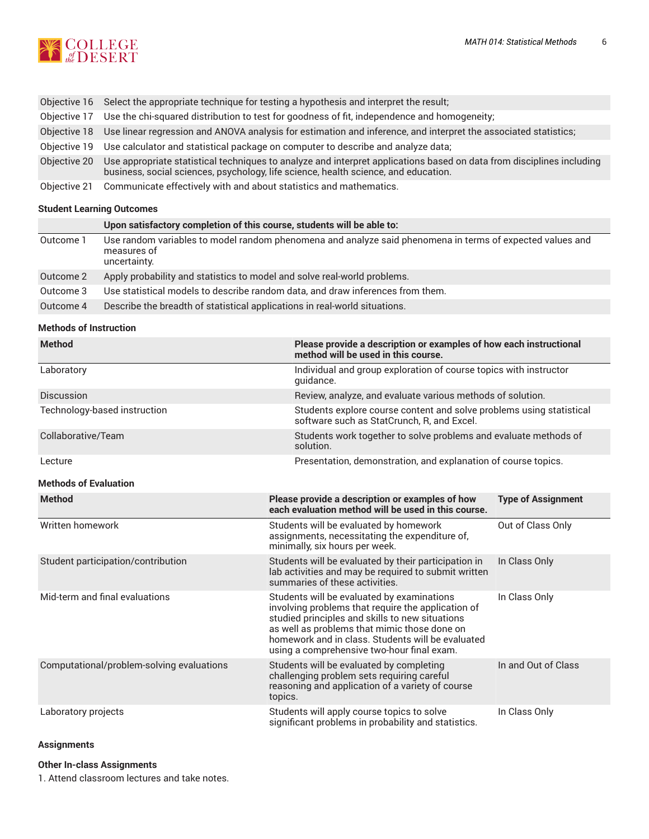

|              | Objective 16 Select the appropriate technique for testing a hypothesis and interpret the result;                                                                                                             |  |  |
|--------------|--------------------------------------------------------------------------------------------------------------------------------------------------------------------------------------------------------------|--|--|
| Obiective 17 | Use the chi-squared distribution to test for goodness of fit, independence and homogeneity;                                                                                                                  |  |  |
| Obiective 18 | Use linear regression and ANOVA analysis for estimation and inference, and interpret the associated statistics;                                                                                              |  |  |
| Obiective 19 | Use calculator and statistical package on computer to describe and analyze data;                                                                                                                             |  |  |
| Objective 20 | Use appropriate statistical techniques to analyze and interpret applications based on data from disciplines including<br>business, social sciences, psychology, life science, health science, and education. |  |  |
|              | Objective 21 Communicate effectively with and about statistics and mathematics.                                                                                                                              |  |  |

## **Student Learning Outcomes**

|           | Upon satisfactory completion of this course, students will be able to:                                                                   |
|-----------|------------------------------------------------------------------------------------------------------------------------------------------|
| Outcome 1 | Use random variables to model random phenomena and analyze said phenomena in terms of expected values and<br>measures of<br>uncertainty. |
| Outcome 2 | Apply probability and statistics to model and solve real-world problems.                                                                 |
| Outcome 3 | Use statistical models to describe random data, and draw inferences from them.                                                           |
| Outcome 4 | Describe the breadth of statistical applications in real-world situations.                                                               |

#### **Methods of Instruction**

| <b>Method</b>                             | method will be used in this course.                                                                                                                                                                                                                                                                    | Please provide a description or examples of how each instructional   |  |  |  |
|-------------------------------------------|--------------------------------------------------------------------------------------------------------------------------------------------------------------------------------------------------------------------------------------------------------------------------------------------------------|----------------------------------------------------------------------|--|--|--|
| Laboratory                                | quidance.                                                                                                                                                                                                                                                                                              | Individual and group exploration of course topics with instructor    |  |  |  |
| Discussion                                |                                                                                                                                                                                                                                                                                                        | Review, analyze, and evaluate various methods of solution.           |  |  |  |
| Technology-based instruction              | software such as StatCrunch. R. and Excel.                                                                                                                                                                                                                                                             | Students explore course content and solve problems using statistical |  |  |  |
| Collaborative/Team                        | solution.                                                                                                                                                                                                                                                                                              | Students work together to solve problems and evaluate methods of     |  |  |  |
| Lecture                                   |                                                                                                                                                                                                                                                                                                        | Presentation, demonstration, and explanation of course topics.       |  |  |  |
| <b>Methods of Evaluation</b>              |                                                                                                                                                                                                                                                                                                        |                                                                      |  |  |  |
| <b>Method</b>                             | Please provide a description or examples of how<br>each evaluation method will be used in this course.                                                                                                                                                                                                 | <b>Type of Assignment</b>                                            |  |  |  |
| Written homework                          | Students will be evaluated by homework<br>assignments, necessitating the expenditure of,<br>minimally, six hours per week.                                                                                                                                                                             | Out of Class Only                                                    |  |  |  |
| Student participation/contribution        | Students will be evaluated by their participation in<br>lab activities and may be required to submit written<br>summaries of these activities.                                                                                                                                                         | In Class Only                                                        |  |  |  |
| Mid-term and final evaluations            | Students will be evaluated by examinations<br>involving problems that require the application of<br>studied principles and skills to new situations<br>as well as problems that mimic those done on<br>homework and in class. Students will be evaluated<br>using a comprehensive two-hour final exam. | In Class Only                                                        |  |  |  |
| Computational/problem-solving evaluations | Students will be evaluated by completing<br>challenging problem sets requiring careful<br>reasoning and application of a variety of course<br>topics.                                                                                                                                                  | In and Out of Class                                                  |  |  |  |
| Laboratory projects                       | Students will apply course topics to solve<br>significant problems in probability and statistics.                                                                                                                                                                                                      | In Class Only                                                        |  |  |  |

## **Assignments**

## **Other In-class Assignments**

1. Attend classroom lectures and take notes.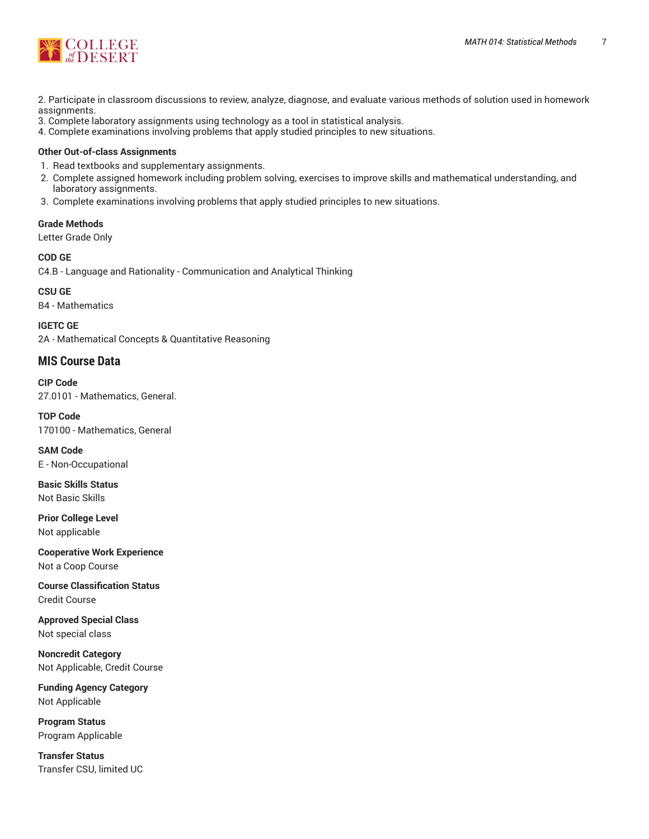

2. Participate in classroom discussions to review, analyze, diagnose, and evaluate various methods of solution used in homework assignments.

- 3. Complete laboratory assignments using technology as a tool in statistical analysis.
- 4. Complete examinations involving problems that apply studied principles to new situations.

## **Other Out-of-class Assignments**

- 1. Read textbooks and supplementary assignments.
- 2. Complete assigned homework including problem solving, exercises to improve skills and mathematical understanding, and laboratory assignments.
- 3. Complete examinations involving problems that apply studied principles to new situations.

## **Grade Methods**

Letter Grade Only

**COD GE** C4.B - Language and Rationality - Communication and Analytical Thinking

**CSU GE** B4 - Mathematics

**IGETC GE** 2A - Mathematical Concepts & Quantitative Reasoning

## **MIS Course Data**

**CIP Code** 27.0101 - Mathematics, General.

**TOP Code** 170100 - Mathematics, General

**SAM Code** E - Non-Occupational

**Basic Skills Status** Not Basic Skills

**Prior College Level** Not applicable

**Cooperative Work Experience** Not a Coop Course

**Course Classification Status** Credit Course

**Approved Special Class** Not special class

**Noncredit Category** Not Applicable, Credit Course

**Funding Agency Category** Not Applicable

**Program Status** Program Applicable

**Transfer Status** Transfer CSU, limited UC